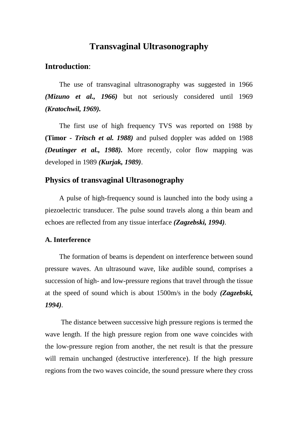# **Transvaginal Ultrasonography**

# **Introduction**:

The use of transvaginal ultrasonography was suggested in 1966 *(Mizuno et al., 1966)* but not seriously considered until 1969 *(Kratochwil, 1969).*

The first use of high frequency TVS was reported on 1988 by **(Timor -** *Tritsch et al. 1988)* and pulsed doppler was added on 1988 *(Deutinger et al., 1988).* More recently, color flow mapping was developed in 1989 *(Kurjak, 1989)*.

## **Physics of transvaginal Ultrasonography**

A pulse of high-frequency sound is launched into the body using a piezoelectric transducer. The pulse sound travels along a thin beam and echoes are reflected from any tissue interface *(Zagzebski, 1994).*

#### **A. Interference**

The formation of beams is dependent on interference between sound pressure waves. An ultrasound wave, like audible sound, comprises a succession of high- and low-pressure regions that travel through the tissue at the speed of sound which is about 1500m/s in the body *(Zagzebski, 1994).*

The distance between successive high pressure regions is termed the wave length. If the high pressure region from one wave coincides with the low-pressure region from another, the net result is that the pressure will remain unchanged (destructive interference). If the high pressure regions from the two waves coincide, the sound pressure where they cross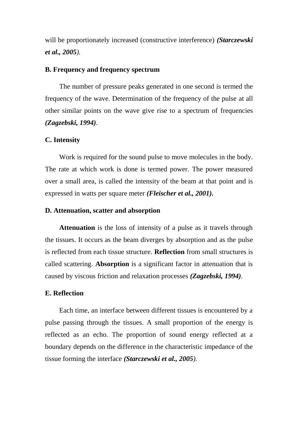will be proportionately increased (constructive interference) *(Starczewski et al., 2005).*

### **B. Frequency and frequency spectrum**

The number of pressure peaks generated in one second is termed the frequency of the wave. Determination of the frequency of the pulse at all other similar points on the wave give rise to a spectrum of frequencies *(Zagzebski, 1994).*

#### **C. Intensity**

Work is required for the sound pulse to move molecules in the body. The rate at which work is done is termed power. The power measured over a small area, is called the intensity of the beam at that point and is expressed in watts per square meter *(Fleischer et al., 2001).*

#### **D. Attenuation, scatter and absorption**

**Attenuation** is the loss of intensity of a pulse as it travels through the tissues. It occurs as the beam diverges by absorption and as the pulse is reflected from each tissue structure. **Reflection** from small structures is called scattering. **Absorption** is a significant factor in attenuation that is caused by viscous friction and relaxation processes *(Zagzebski, 1994).*

#### **E. Reflection**

Each time, an interface between different tissues is encountered by a pulse passing through the tissues. A small proportion of the energy is reflected as an echo. The proportion of sound energy reflected at a boundary depends on the difference in the characteristic impedance of the tissue forming the interface *(Starczewski et al., 2005).*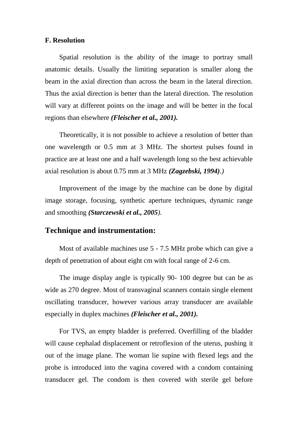#### **F. Resolution**

Spatial resolution is the ability of the image to portray small anatomic details. Usually the limiting separation is smaller along the beam in the axial direction than across the beam in the lateral direction. Thus the axial direction is better than the lateral direction. The resolution will vary at different points on the image and will be better in the focal regions than elsewhere *(Fleischer et al., 2001).*

Theoretically, it is not possible to achieve a resolution of better than one wavelength or 0.5 mm at 3 MHz. The shortest pulses found in practice are at least one and a half wavelength long so the best achievable axial resolution is about 0.75 mm at 3 MHz *(Zagzebski, 1994).)*

Improvement of the image by the machine can be done by digital image storage, focusing, synthetic aperture techniques, dynamic range and smoothing *(Starczewski et al., 2005).*

## **Technique and instrumentation:**

Most of available machines use 5 - 7.5 MHz probe which can give a depth of penetration of about eight cm with focal range of 2-6 cm.

The image display angle is typically 90- 100 degree but can be as wide as 270 degree. Most of transvaginal scanners contain single element oscillating transducer, however various array transducer are available especially in duplex machines *(Fleischer et al., 2001).*

For TVS, an empty bladder is preferred. Overfilling of the bladder will cause cephalad displacement or retroflexion of the uterus, pushing it out of the image plane. The woman lie supine with flexed legs and the probe is introduced into the vagina covered with a condom containing transducer gel. The condom is then covered with sterile gel before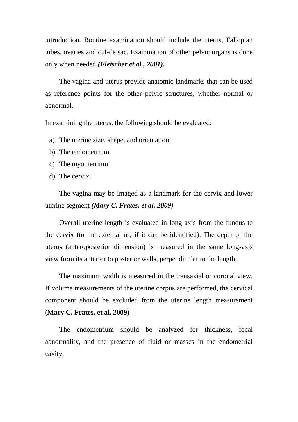introduction. Routine examination should include the uterus, Fallopian tubes, ovaries and cul-de sac. Examination of other pelvic organs is done only when needed *(Fleischer et al., 2001).*

The vagina and uterus provide anatomic landmarks that can be used as reference points for the other pelvic structures, whether normal or abnormal.

In examining the uterus, the following should be evaluated:

- a) The uterine size, shape, and orientation
- b) The endometrium
- c) The myometrium
- d) The cervix.

The vagina may be imaged as a landmark for the cervix and lower uterine segment *(Mary C. Frates, et al. 2009)*

Overall uterine length is evaluated in long axis from the fundus to the cervix (to the external os, if it can be identified). The depth of the uterus (anteroposterior dimension) is measured in the same long-axis view from its anterior to posterior walls, perpendicular to the length.

The maximum width is measured in the transaxial or coronal view. If volume measurements of the uterine corpus are performed, the cervical component should be excluded from the uterine length measurement **(Mary C. Frates, et al. 2009)**

The endometrium should be analyzed for thickness, focal abnormality, and the presence of fluid or masses in the endometrial cavity.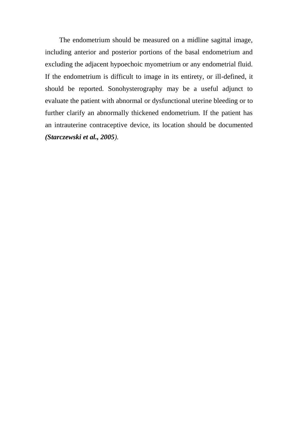The endometrium should be measured on a midline sagittal image, including anterior and posterior portions of the basal endometrium and excluding the adjacent hypoechoic myometrium or any endometrial fluid. If the endometrium is difficult to image in its entirety, or ill-defined, it should be reported. Sonohysterography may be a useful adjunct to evaluate the patient with abnormal or dysfunctional uterine bleeding or to further clarify an abnormally thickened endometrium. If the patient has an intrauterine contraceptive device, its location should be documented *(Starczewski et al., 2005).*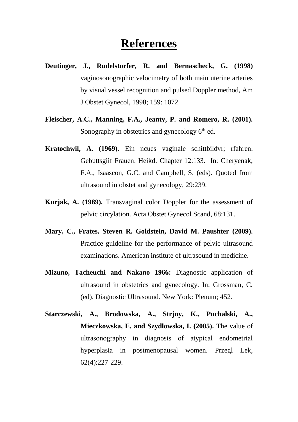# **References**

- **Deutinger, J., Rudelstorfer, R. and Bernascheck, G. (1998)**  vaginosonographic velocimetry of both main uterine arteries by visual vessel recognition and pulsed Doppler method, Am J Obstet Gynecol, 1998; 159: 1072.
- **Fleischer, A.C., Manning, F.A., Jeanty, P. and Romero, R. (2001).**  Sonography in obstetrics and gynecology  $6<sup>th</sup>$  ed.
- **Kratochwil, A. (1969).** Ein ncues vaginale schittbildvr; rfahren. Gebuttsgiif Frauen. Heikd. Chapter 12:133. In: Cheryenak, F.A., Isaascon, G.C. and Campbell, S. (eds). Quoted from ultrasound in obstet and gynecology, 29:239.
- **Kurjak, A. (1989).** Transvaginal color Doppler for the assessment of pelvic circylation. Acta Obstet Gynecol Scand, 68:131.
- **Mary, C., Frates, Steven R. Goldstein, David M. Paushter (2009).**  Practice guideline for the performance of pelvic ultrasound examinations. American institute of ultrasound in medicine.
- **Mizuno, Tacheuchi and Nakano 1966:** Diagnostic application of ultrasound in obstetrics and gynecology. In: Grossman, C. (ed). Diagnostic Ultrasound. New York: Plenum; 452.
- **Starczewski, A., Brodowska, A., Strjny, K., Puchalski, A., Mieczkowska, E. and Szydlowska, I. (2005).** The value of ultrasonography in diagnosis of atypical endometrial hyperplasia in postmenopausal women. Przegl Lek, 62(4):227-229.